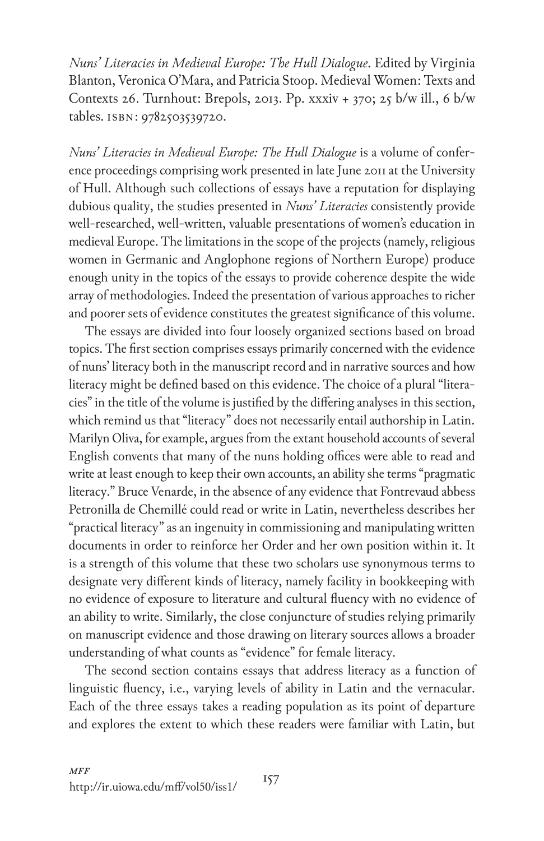*Nuns' Literacies in Medieval Europe: The Hull Dialogue*. Edited by Virginia Blanton, Veronica O'Mara, and Patricia Stoop. Medieval Women: Texts and Contexts 26. Turnhout: Brepols, 2013. Pp. xxxiv + 370; 25 b/w ill., 6 b/w tables. isbn: 9782503539720.

*Nuns' Literacies in Medieval Europe: The Hull Dialogue* is a volume of conference proceedings comprising work presented in late June 2011 at the University of Hull. Although such collections of essays have a reputation for displaying dubious quality, the studies presented in *Nuns' Literacies* consistently provide well-researched, well-written, valuable presentations of women's education in medieval Europe. The limitations in the scope of the projects (namely, religious women in Germanic and Anglophone regions of Northern Europe) produce enough unity in the topics of the essays to provide coherence despite the wide array of methodologies. Indeed the presentation of various approaches to richer and poorer sets of evidence constitutes the greatest significance of this volume.

The essays are divided into four loosely organized sections based on broad topics. The first section comprises essays primarily concerned with the evidence of nuns' literacy both in the manuscript record and in narrative sources and how literacy might be defined based on this evidence. The choice of a plural "literacies" in the title of the volume is justified by the differing analyses in this section, which remind us that "literacy" does not necessarily entail authorship in Latin. Marilyn Oliva, for example, argues from the extant household accounts of several English convents that many of the nuns holding offices were able to read and write at least enough to keep their own accounts, an ability she terms "pragmatic literacy." Bruce Venarde, in the absence of any evidence that Fontrevaud abbess Petronilla de Chemillé could read or write in Latin, nevertheless describes her "practical literacy" as an ingenuity in commissioning and manipulating written documents in order to reinforce her Order and her own position within it. It is a strength of this volume that these two scholars use synonymous terms to designate very different kinds of literacy, namely facility in bookkeeping with no evidence of exposure to literature and cultural fluency with no evidence of an ability to write. Similarly, the close conjuncture of studies relying primarily on manuscript evidence and those drawing on literary sources allows a broader understanding of what counts as "evidence" for female literacy.

The second section contains essays that address literacy as a function of linguistic fluency, i.e., varying levels of ability in Latin and the vernacular. Each of the three essays takes a reading population as its point of departure and explores the extent to which these readers were familiar with Latin, but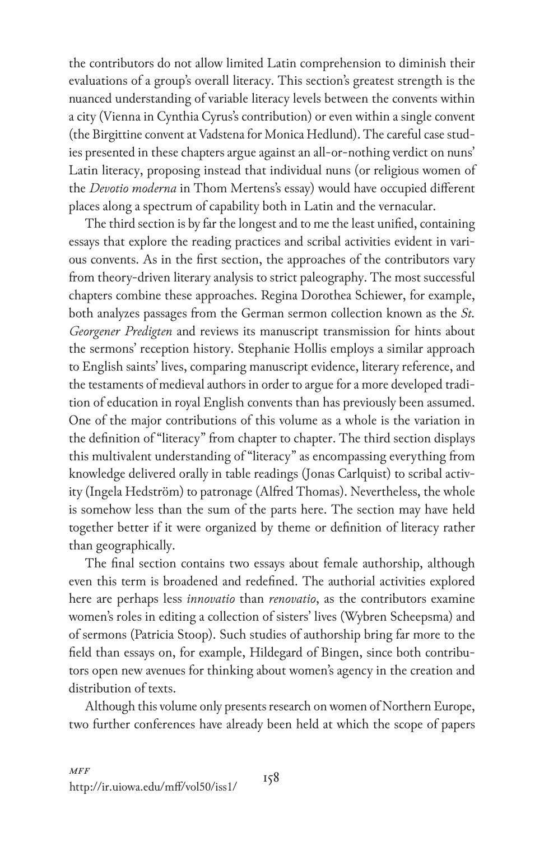the contributors do not allow limited Latin comprehension to diminish their evaluations of a group's overall literacy. This section's greatest strength is the nuanced understanding of variable literacy levels between the convents within a city (Vienna in Cynthia Cyrus's contribution) or even within a single convent (the Birgittine convent at Vadstena for Monica Hedlund). The careful case studies presented in these chapters argue against an all-or-nothing verdict on nuns' Latin literacy, proposing instead that individual nuns (or religious women of the *Devotio moderna* in Thom Mertens's essay) would have occupied different places along a spectrum of capability both in Latin and the vernacular.

The third section is by far the longest and to me the least unified, containing essays that explore the reading practices and scribal activities evident in various convents. As in the first section, the approaches of the contributors vary from theory-driven literary analysis to strict paleography. The most successful chapters combine these approaches. Regina Dorothea Schiewer, for example, both analyzes passages from the German sermon collection known as the *St. Georgener Predigten* and reviews its manuscript transmission for hints about the sermons' reception history. Stephanie Hollis employs a similar approach to English saints' lives, comparing manuscript evidence, literary reference, and the testaments of medieval authors in order to argue for a more developed tradition of education in royal English convents than has previously been assumed. One of the major contributions of this volume as a whole is the variation in the definition of "literacy" from chapter to chapter. The third section displays this multivalent understanding of "literacy" as encompassing everything from knowledge delivered orally in table readings (Jonas Carlquist) to scribal activity (Ingela Hedström) to patronage (Alfred Thomas). Nevertheless, the whole is somehow less than the sum of the parts here. The section may have held together better if it were organized by theme or definition of literacy rather than geographically.

The final section contains two essays about female authorship, although even this term is broadened and redefined. The authorial activities explored here are perhaps less *innovatio* than *renovatio*, as the contributors examine women's roles in editing a collection of sisters' lives (Wybren Scheepsma) and of sermons (Patricia Stoop). Such studies of authorship bring far more to the field than essays on, for example, Hildegard of Bingen, since both contributors open new avenues for thinking about women's agency in the creation and distribution of texts.

Although this volume only presents research on women of Northern Europe, two further conferences have already been held at which the scope of papers